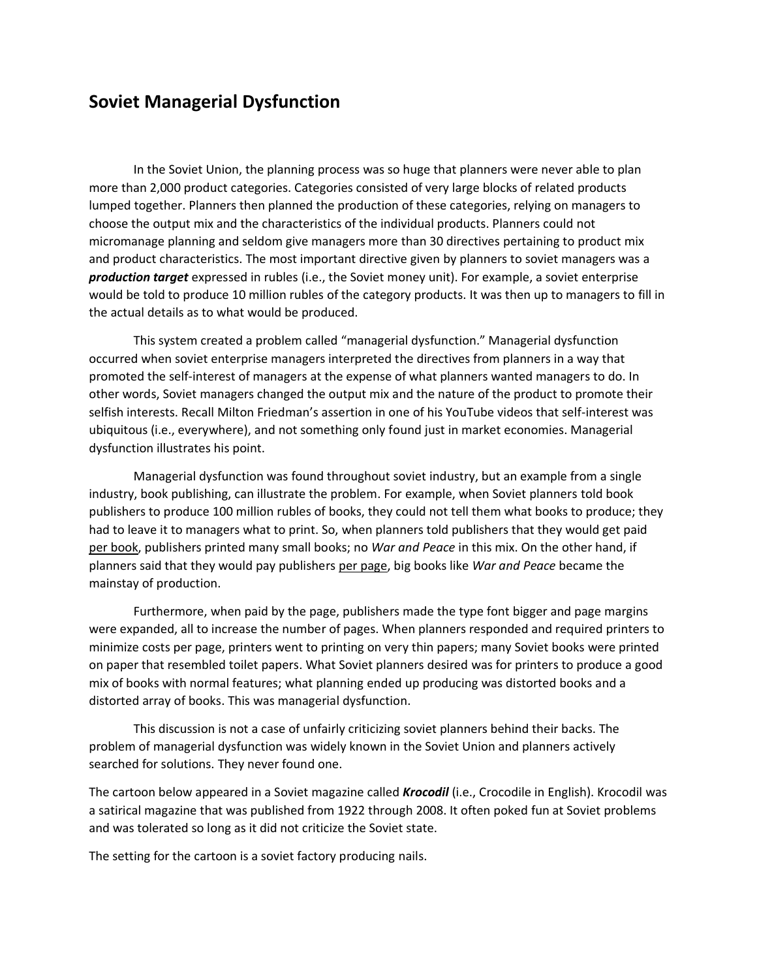## **Soviet Managerial Dysfunction**

In the Soviet Union, the planning process was so huge that planners were never able to plan more than 2,000 product categories. Categories consisted of very large blocks of related products lumped together. Planners then planned the production of these categories, relying on managers to choose the output mix and the characteristics of the individual products. Planners could not micromanage planning and seldom give managers more than 30 directives pertaining to product mix and product characteristics. The most important directive given by planners to soviet managers was a *production target* expressed in rubles (i.e., the Soviet money unit). For example, a soviet enterprise would be told to produce 10 million rubles of the category products. It was then up to managers to fill in the actual details as to what would be produced.

This system created a problem called "managerial dysfunction." Managerial dysfunction occurred when soviet enterprise managers interpreted the directives from planners in a way that promoted the self-interest of managers at the expense of what planners wanted managers to do. In other words, Soviet managers changed the output mix and the nature of the product to promote their selfish interests. Recall Milton Friedman's assertion in one of his YouTube videos that self-interest was ubiquitous (i.e., everywhere), and not something only found just in market economies. Managerial dysfunction illustrates his point.

Managerial dysfunction was found throughout soviet industry, but an example from a single industry, book publishing, can illustrate the problem. For example, when Soviet planners told book publishers to produce 100 million rubles of books, they could not tell them what books to produce; they had to leave it to managers what to print. So, when planners told publishers that they would get paid per book, publishers printed many small books; no *War and Peace* in this mix. On the other hand, if planners said that they would pay publishers per page, big books like *War and Peace* became the mainstay of production.

Furthermore, when paid by the page, publishers made the type font bigger and page margins were expanded, all to increase the number of pages. When planners responded and required printers to minimize costs per page, printers went to printing on very thin papers; many Soviet books were printed on paper that resembled toilet papers. What Soviet planners desired was for printers to produce a good mix of books with normal features; what planning ended up producing was distorted books and a distorted array of books. This was managerial dysfunction.

This discussion is not a case of unfairly criticizing soviet planners behind their backs. The problem of managerial dysfunction was widely known in the Soviet Union and planners actively searched for solutions. They never found one.

The cartoon below appeared in a Soviet magazine called *Krocodil* (i.e., Crocodile in English). Krocodil was a satirical magazine that was published from 1922 through 2008. It often poked fun at Soviet problems and was tolerated so long as it did not criticize the Soviet state.

The setting for the cartoon is a soviet factory producing nails.